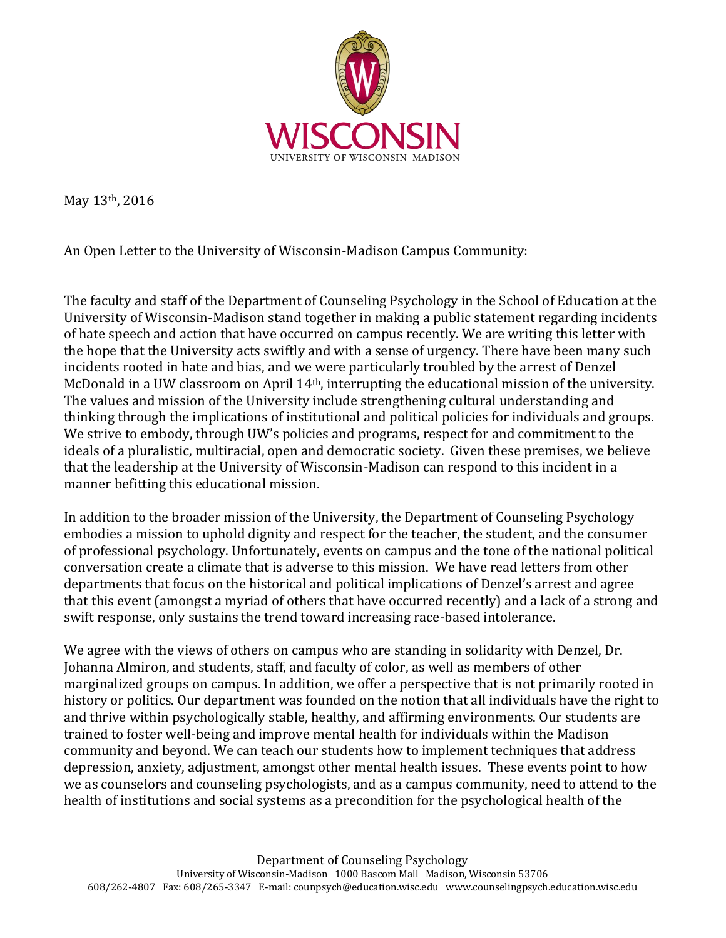

May 13th, 2016

An Open Letter to the University of Wisconsin-Madison Campus Community:

The faculty and staff of the Department of Counseling Psychology in the School of Education at the University of Wisconsin-Madison stand together in making a public statement regarding incidents of hate speech and action that have occurred on campus recently. We are writing this letter with the hope that the University acts swiftly and with a sense of urgency. There have been many such incidents rooted in hate and bias, and we were particularly troubled by the arrest of Denzel McDonald in a UW classroom on April 14th, interrupting the educational mission of the university. The values and mission of the University include strengthening cultural understanding and thinking through the implications of institutional and political policies for individuals and groups. We strive to embody, through UW's policies and programs, respect for and commitment to the ideals of a pluralistic, multiracial, open and democratic society. Given these premises, we believe that the leadership at the University of Wisconsin-Madison can respond to this incident in a manner befitting this educational mission.

In addition to the broader mission of the University, the Department of Counseling Psychology embodies a mission to uphold dignity and respect for the teacher, the student, and the consumer of professional psychology. Unfortunately, events on campus and the tone of the national political conversation create a climate that is adverse to this mission. We have read letters from other departments that focus on the historical and political implications of Denzel's arrest and agree that this event (amongst a myriad of others that have occurred recently) and a lack of a strong and swift response, only sustains the trend toward increasing race-based intolerance.

We agree with the views of others on campus who are standing in solidarity with Denzel, Dr. Johanna Almiron, and students, staff, and faculty of color, as well as members of other marginalized groups on campus. In addition, we offer a perspective that is not primarily rooted in history or politics. Our department was founded on the notion that all individuals have the right to and thrive within psychologically stable, healthy, and affirming environments. Our students are trained to foster well-being and improve mental health for individuals within the Madison community and beyond. We can teach our students how to implement techniques that address depression, anxiety, adjustment, amongst other mental health issues. These events point to how we as counselors and counseling psychologists, and as a campus community, need to attend to the health of institutions and social systems as a precondition for the psychological health of the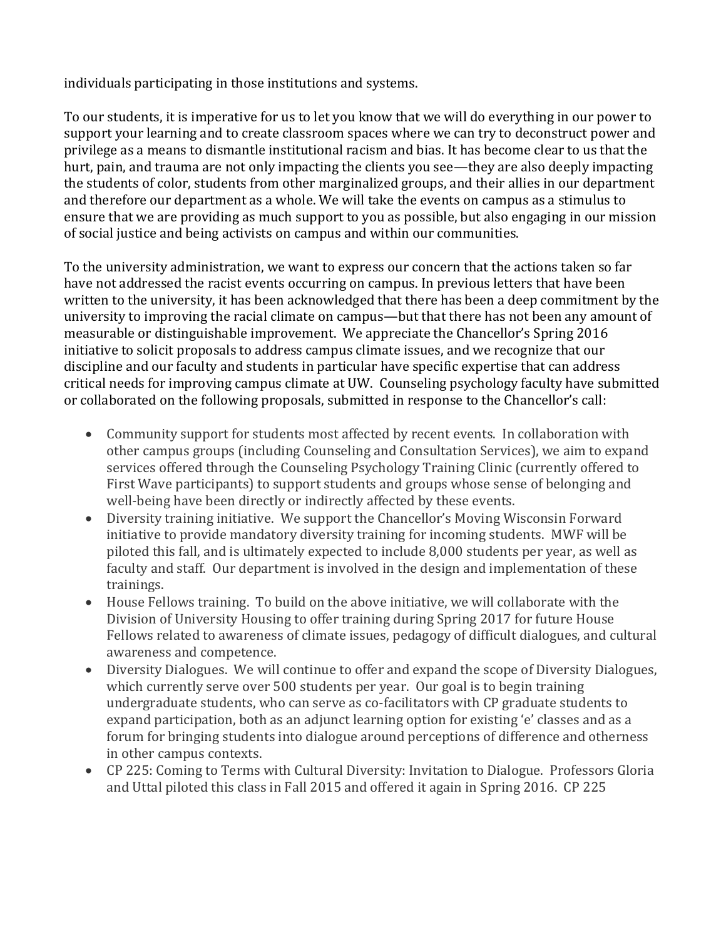individuals participating in those institutions and systems.

To our students, it is imperative for us to let you know that we will do everything in our power to support your learning and to create classroom spaces where we can try to deconstruct power and privilege as a means to dismantle institutional racism and bias. It has become clear to us that the hurt, pain, and trauma are not only impacting the clients you see—they are also deeply impacting the students of color, students from other marginalized groups, and their allies in our department and therefore our department as a whole. We will take the events on campus as a stimulus to ensure that we are providing as much support to you as possible, but also engaging in our mission of social justice and being activists on campus and within our communities.

To the university administration, we want to express our concern that the actions taken so far have not addressed the racist events occurring on campus. In previous letters that have been written to the university, it has been acknowledged that there has been a deep commitment by the university to improving the racial climate on campus—but that there has not been any amount of measurable or distinguishable improvement. We appreciate the Chancellor's Spring 2016 initiative to solicit proposals to address campus climate issues, and we recognize that our discipline and our faculty and students in particular have specific expertise that can address critical needs for improving campus climate at UW. Counseling psychology faculty have submitted or collaborated on the following proposals, submitted in response to the Chancellor's call:

- Community support for students most affected by recent events. In collaboration with other campus groups (including Counseling and Consultation Services), we aim to expand services offered through the Counseling Psychology Training Clinic (currently offered to First Wave participants) to support students and groups whose sense of belonging and well-being have been directly or indirectly affected by these events.
- Diversity training initiative. We support the Chancellor's Moving Wisconsin Forward initiative to provide mandatory diversity training for incoming students. MWF will be piloted this fall, and is ultimately expected to include 8,000 students per year, as well as faculty and staff. Our department is involved in the design and implementation of these trainings.
- House Fellows training. To build on the above initiative, we will collaborate with the Division of University Housing to offer training during Spring 2017 for future House Fellows related to awareness of climate issues, pedagogy of difficult dialogues, and cultural awareness and competence.
- Diversity Dialogues. We will continue to offer and expand the scope of Diversity Dialogues, which currently serve over 500 students per year. Our goal is to begin training undergraduate students, who can serve as co-facilitators with CP graduate students to expand participation, both as an adjunct learning option for existing 'e' classes and as a forum for bringing students into dialogue around perceptions of difference and otherness in other campus contexts.
- CP 225: Coming to Terms with Cultural Diversity: Invitation to Dialogue. Professors Gloria and Uttal piloted this class in Fall 2015 and offered it again in Spring 2016. CP 225